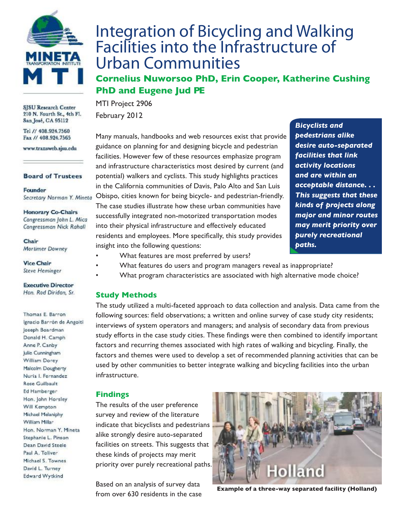

SJSU Research Center 210 N. Fourth St., 4th Fl. San José, CA 95112

Tel // 408.924.7560 Fax // 408.924.7565

www.transweb.sjsu.edu

#### **Board of Trustees**

Founder Secretary Norman Y. Mineta

**Honorary Co-Chairs** Congressman John L. Mica Congressman Nick Rahall

Chair Mortimer Downey

#### **Vice Chair Steve Heminger**

#### **Executive Director** Hon. Rod Diridon, Sr.

Thomas E. Barron Ignacio Barrón de Angoiti Joseph Boardman Donald H. Camph Anne P. Canby Julie Cunningham William Dorey Malcolm Dougherty Nuria I. Fernandez Rose Guilbault Ed Hamberger Hon. John Horsley Will Kempton Michael Melaniphy William Millar Hon. Norman Y. Mineta Stephanie L. Pinson Dean David Steele Paul A. Toliver Michael S. Townes David L. Turney Edward Wytkind

# Integration of Bicycling and Walking Facilities into the Infrastructure of Urban Communities

**Cornelius Nuworsoo PhD, Erin Cooper, Katherine Cushing PhD and Eugene Jud PE**

MTI Project 2906 February 2012

Many manuals, handbooks and web resources exist that provide guidance on planning for and designing bicycle and pedestrian facilities. However few of these resources emphasize program and infrastructure characteristics most desired by current (and potential) walkers and cyclists. This study highlights practices in the California communities of Davis, Palo Alto and San Luis Obispo, cities known for being bicycle- and pedestrian-friendly. The case studies illustrate how these urban communities have successfully integrated non-motorized transportation modes into their physical infrastructure and effectively educated residents and employees. More specifically, this study provides insight into the following questions:

*Bicyclists and pedestrians alike desire auto-separated facilities that link activity locations and are within an acceptable distance. . . This suggests that these kinds of projects along major and minor routes may merit priority over purely recreational paths.*

- What features are most preferred by users?
- What features do users and program managers reveal as inappropriate?
- What program characteristics are associated with high alternative mode choice?

## **Study Methods**

The study utilized a multi-faceted approach to data collection and analysis. Data came from the following sources: field observations; a written and online survey of case study city residents; interviews of system operators and managers; and analysis of secondary data from previous study efforts in the case study cities. These findings were then combined to identify important factors and recurring themes associated with high rates of walking and bicycling. Finally, the factors and themes were used to develop a set of recommended planning activities that can be used by other communities to better integrate walking and bicycling facilities into the urban infrastructure.

## **Findings**

The results of the user preference survey and review of the literature indicate that bicyclists and pedestrians alike strongly desire auto-separated facilities on streets. This suggests that these kinds of projects may merit priority over purely recreational paths.

Based on an analysis of survey data



from over 630 residents in the case **Example of a three-way separated facility (Holland)**